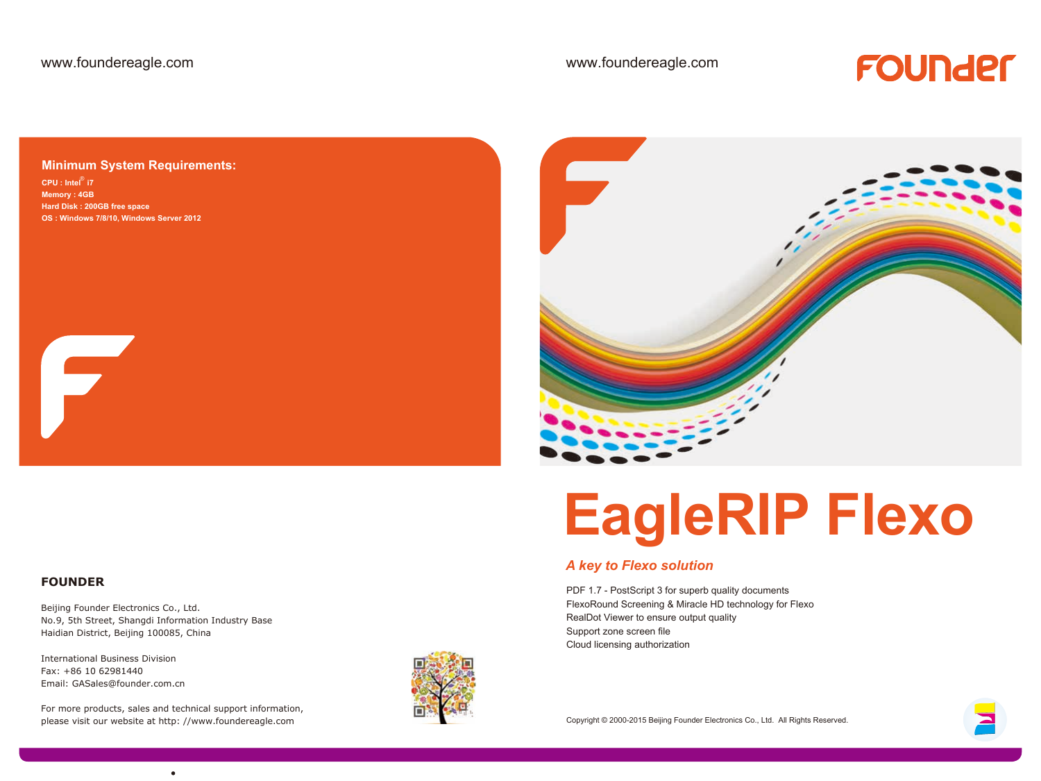## FOUNDEL

#### **Minimum System Requirements:**

CPU : Intel<sup>®</sup> i7 **Memory : 4GB Hard Disk : 200GB free space OS : Windows 7/8/10, Windows Server 2012**

#### **FOUNDER**

F

Beijing Founder Electronics Co., Ltd. No.9, 5th Street, Shangdi Information Industry Base Haidian District, Beijing 100085, China

International Business Division Fax: +86 10 62981440 Email: GASales@founder.com.cn

For more products, sales and technical support information, please visit our website at http: //www.foundereagle.com





# **EagleRIP Flexo**

### *A key to Flexo solution*

PDF 1.7 - PostScript 3 for superb quality documents FlexoRound Screening & Miracle HD technology for Flexo RealDot Viewer to ensure output quality Support zone screen file Cloud licensing authorization